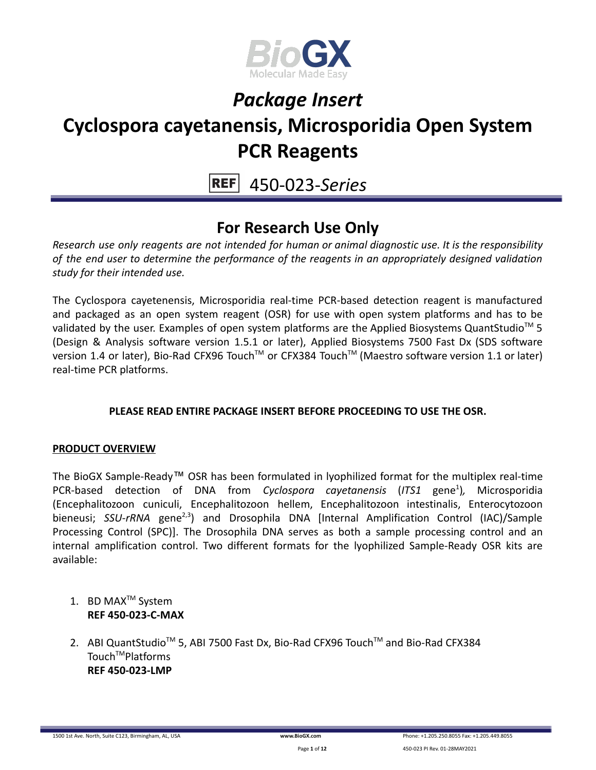

# *Package Insert*

### **Cyclospora cayetanensis, Microsporidia Open System PCR Reagents**

450-023-*Series*

### **For Research Use Only**

*Research use only reagents are not intended for human or animal diagnostic use. It is the responsibility of the end user to determine the performance of the reagents in an appropriately designed validation study for their intended use.*

The Cyclospora cayetenensis, Microsporidia real-time PCR-based detection reagent is manufactured and packaged as an open system reagent (OSR) for use with open system platforms and has to be validated by the user. Examples of open system platforms are the Applied Biosystems QuantStudio<sup>™</sup> 5 (Design & Analysis software version 1.5.1 or later), Applied Biosystems 7500 Fast Dx (SDS software version 1.4 or later), Bio-Rad CFX96 Touch™ or CFX384 Touch™ (Maestro software version 1.1 or later) real-time PCR platforms.

#### **PLEASE READ ENTIRE PACKAGE INSERT BEFORE PROCEEDING TO USE THE OSR.**

#### **PRODUCT OVERVIEW**

The BioGX Sample-Ready™ OSR has been formulated in lyophilized format for the multiplex real-time PCR-based detection of DNA from *Cyclospora cayetanensis* (ITS1 gene<sup>1</sup>), Microsporidia (Encephalitozoon cuniculi, Encephalitozoon hellem, Encephalitozoon intestinalis, Enterocytozoon bieneusi; SSU-rRNA gene<sup>2,3</sup>) and Drosophila DNA [Internal Amplification Control (IAC)/Sample Processing Control (SPC)]. The Drosophila DNA serves as both a sample processing control and an internal amplification control. Two different formats for the lyophilized Sample-Ready OSR kits are available:

- 1. BD MAX<sup>™</sup> System **REF 450-023-C-MAX**
- 2. ABI QuantStudio<sup>™</sup> 5, ABI 7500 Fast Dx, Bio-Rad CFX96 Touch™ and Bio-Rad CFX384 Touch<sup>™</sup>Platforms **REF 450-023-LMP**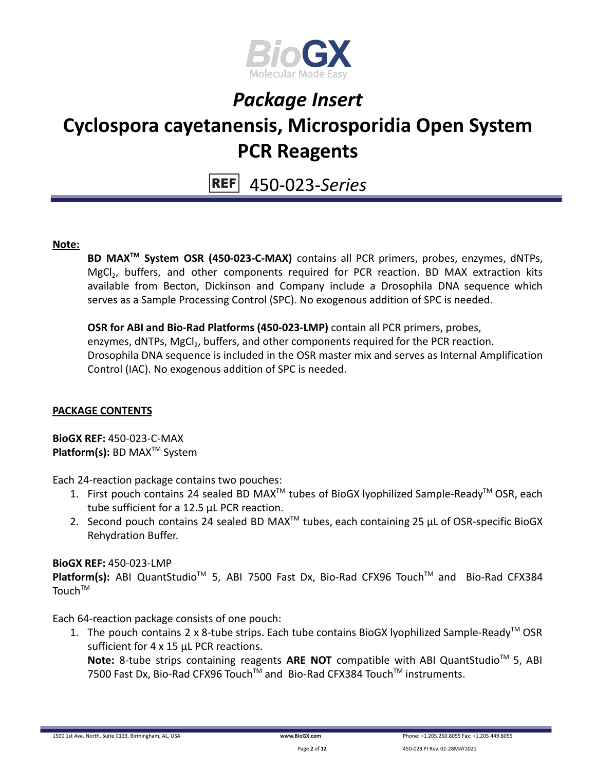

450-023-*Series*

#### **Note:**

**BD MAXTM System OSR (450-023-C-MAX)** contains all PCR primers, probes, enzymes, dNTPs, MgCl<sub>2</sub>, buffers, and other components required for PCR reaction. BD MAX extraction kits available from Becton, Dickinson and Company include a Drosophila DNA sequence which serves as a Sample Processing Control (SPC). No exogenous addition of SPC is needed.

**OSR for ABI and Bio-Rad Platforms (450-023-LMP)** contain all PCR primers, probes, enzymes, dNTPs, MgCl<sub>2</sub>, buffers, and other components required for the PCR reaction. Drosophila DNA sequence is included in the OSR master mix and serves as Internal Amplification Control (IAC). No exogenous addition of SPC is needed.

#### **PACKAGE CONTENTS**

**BioGX REF:** 450-023-C-MAX **Platform(s):** BD MAX<sup>™</sup> System

Each 24-reaction package contains two pouches:

- 1. First pouch contains 24 sealed BD MAX<sup>™</sup> tubes of BioGX lyophilized Sample-Ready<sup>™</sup> OSR, each tube sufficient for a 12.5 µL PCR reaction.
- 2. Second pouch contains 24 sealed BD MAX<sup>™</sup> tubes, each containing 25  $\mu$ L of OSR-specific BioGX Rehydration Buffer.

#### **BioGX REF:** 450-023-LMP

Platform(s): ABI QuantStudio<sup>™</sup> 5, ABI 7500 Fast Dx, Bio-Rad CFX96 Touch<sup>™</sup> and Bio-Rad CFX384 Touch<sup>TM</sup>

Each 64-reaction package consists of one pouch:

1. The pouch contains 2 x 8-tube strips. Each tube contains BioGX lyophilized Sample-Ready<sup>TM</sup> OSR sufficient for 4 x 15 µL PCR reactions.

Note: 8-tube strips containing reagents ARE NOT compatible with ABI QuantStudio<sup>™</sup> 5, ABI 7500 Fast Dx, Bio-Rad CFX96 Touch™ and Bio-Rad CFX384 Touch™ instruments.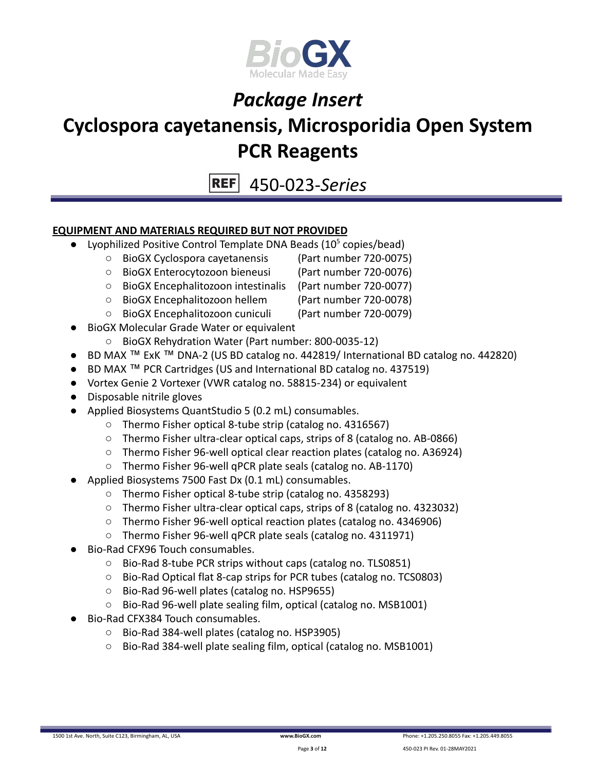

# *Package Insert*

### **Cyclospora cayetanensis, Microsporidia Open System PCR Reagents**

450-023-*Series*

#### **EQUIPMENT AND MATERIALS REQUIRED BUT NOT PROVIDED**

- Lyophilized Positive Control Template DNA Beads  $(10<sup>5</sup>$  copies/bead)
	- BioGX Cyclospora cayetanensis (Part number 720-0075)
	- BioGX Enterocytozoon bieneusi (Part number 720-0076)
		-
	- BioGX Encephalitozoon intestinalis (Part number 720-0077) ○ BioGX Encephalitozoon hellem (Part number 720-0078)
	- BioGX Encephalitozoon cuniculi (Part number 720-0079)
	- **BioGX Molecular Grade Water or equivalent** 
		- BioGX Rehydration Water (Part number: 800-0035-12)
- BD MAX ™ ExK ™ DNA-2 (US BD catalog no. 442819/ International BD catalog no. 442820)
- BD MAX ™ PCR Cartridges (US and International BD catalog no. 437519)
- Vortex Genie 2 Vortexer (VWR catalog no. 58815-234) or equivalent
- Disposable nitrile gloves
- Applied Biosystems QuantStudio 5 (0.2 mL) consumables.
	- Thermo Fisher optical 8-tube strip (catalog no. 4316567)
	- Thermo Fisher ultra-clear optical caps, strips of 8 (catalog no. AB-0866)
	- Thermo Fisher 96-well optical clear reaction plates (catalog no. A36924)
	- Thermo Fisher 96-well qPCR plate seals (catalog no. AB-1170)
- Applied Biosystems 7500 Fast Dx (0.1 mL) consumables.
	- Thermo Fisher optical 8-tube strip (catalog no. 4358293)
		- Thermo Fisher ultra-clear optical caps, strips of 8 (catalog no. 4323032)
		- Thermo Fisher 96-well optical reaction plates (catalog no. 4346906)
		- Thermo Fisher 96-well qPCR plate seals (catalog no. 4311971)
- Bio-Rad CFX96 Touch consumables.
	- Bio-Rad 8-tube PCR strips without caps (catalog no. TLS0851)
	- Bio-Rad Optical flat 8-cap strips for PCR tubes (catalog no. TCS0803)
	- Bio-Rad 96-well plates (catalog no. HSP9655)
	- Bio-Rad 96-well plate sealing film, optical (catalog no. MSB1001)
- Bio-Rad CFX384 Touch consumables.
	- Bio-Rad 384-well plates (catalog no. HSP3905)
	- Bio-Rad 384-well plate sealing film, optical (catalog no. MSB1001)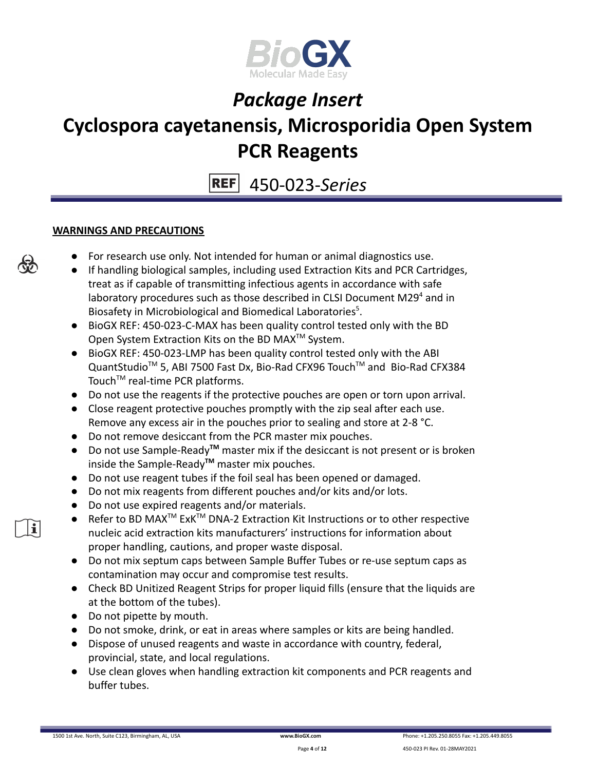

450-023-*Series*

#### **WARNINGS AND PRECAUTIONS**

- For research use only. Not intended for human or animal diagnostics use.
- If handling biological samples, including used Extraction Kits and PCR Cartridges, treat as if capable of transmitting infectious agents in accordance with safe laboratory procedures such as those described in CLSI Document M29 $4$  and in Biosafety in Microbiological and Biomedical Laboratories<sup>5</sup>.
- BioGX REF: 450-023-C-MAX has been quality control tested only with the BD Open System Extraction Kits on the BD MAX<sup>™</sup> System.
- BioGX REF: 450-023-LMP has been quality control tested only with the ABI QuantStudio<sup>™</sup> 5, ABI 7500 Fast Dx, Bio-Rad CFX96 Touch™ and Bio-Rad CFX384 Touch<sup>™</sup> real-time PCR platforms.
- Do not use the reagents if the protective pouches are open or torn upon arrival.
- Close reagent protective pouches promptly with the zip seal after each use. Remove any excess air in the pouches prior to sealing and store at 2-8 °C.
- Do not remove desiccant from the PCR master mix pouches.
- Do not use Sample-Ready**TM** master mix if the desiccant is not present or is broken inside the Sample-Ready**TM** master mix pouches.
- Do not use reagent tubes if the foil seal has been opened or damaged.
- Do not mix reagents from different pouches and/or kits and/or lots.
- Do not use expired reagents and/or materials.
- Refer to BD MAX<sup>™</sup> ExK<sup>™</sup> DNA-2 Extraction Kit Instructions or to other respective nucleic acid extraction kits manufacturers' instructions for information about proper handling, cautions, and proper waste disposal.
- Do not mix septum caps between Sample Buffer Tubes or re-use septum caps as contamination may occur and compromise test results.
- Check BD Unitized Reagent Strips for proper liquid fills (ensure that the liquids are at the bottom of the tubes).
- Do not pipette by mouth.
- Do not smoke, drink, or eat in areas where samples or kits are being handled.
- Dispose of unused reagents and waste in accordance with country, federal, provincial, state, and local regulations.
- Use clean gloves when handling extraction kit components and PCR reagents and buffer tubes.

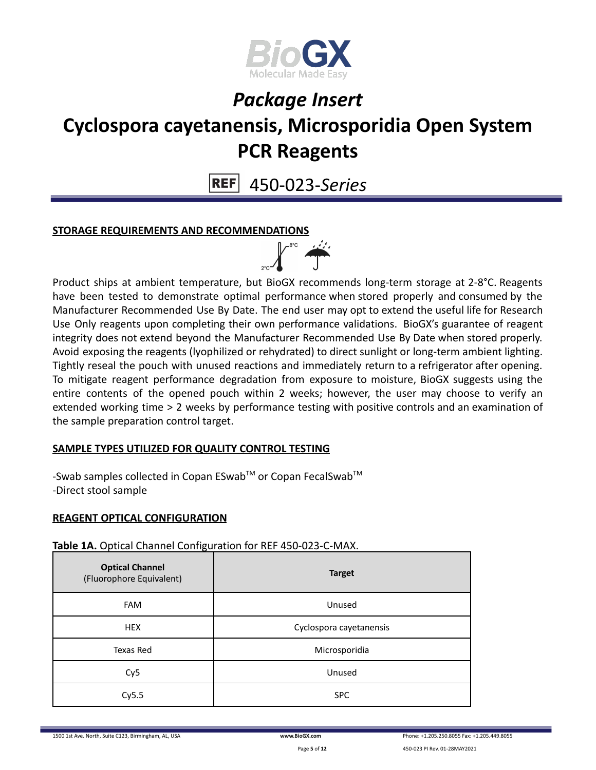

450-023-*Series*

#### **STORAGE REQUIREMENTS AND RECOMMENDATIONS**



Product ships at ambient temperature, but BioGX recommends long-term storage at 2-8°C. Reagents have been tested to demonstrate optimal performance when stored properly and consumed by the Manufacturer Recommended Use By Date. The end user may opt to extend the useful life for Research Use Only reagents upon completing their own performance validations. BioGX's guarantee of reagent integrity does not extend beyond the Manufacturer Recommended Use By Date when stored properly. Avoid exposing the reagents (lyophilized or rehydrated) to direct sunlight or long-term ambient lighting. Tightly reseal the pouch with unused reactions and immediately return to a refrigerator after opening. To mitigate reagent performance degradation from exposure to moisture, BioGX suggests using the entire contents of the opened pouch within 2 weeks; however, the user may choose to verify an extended working time > 2 weeks by performance testing with positive controls and an examination of the sample preparation control target.

#### **SAMPLE TYPES UTILIZED FOR QUALITY CONTROL TESTING**

-Swab samples collected in Copan ESwab™ or Copan FecalSwab™ -Direct stool sample

#### **REAGENT OPTICAL CONFIGURATION**

#### **Table 1A.** Optical Channel Configuration for REF 450-023-C-MAX.

| <b>Optical Channel</b><br>(Fluorophore Equivalent) | <b>Target</b>           |
|----------------------------------------------------|-------------------------|
| <b>FAM</b>                                         | Unused                  |
| <b>HEX</b>                                         | Cyclospora cayetanensis |
| Texas Red                                          | Microsporidia           |
| Cy <sub>5</sub>                                    | Unused                  |
| Cy5.5                                              | <b>SPC</b>              |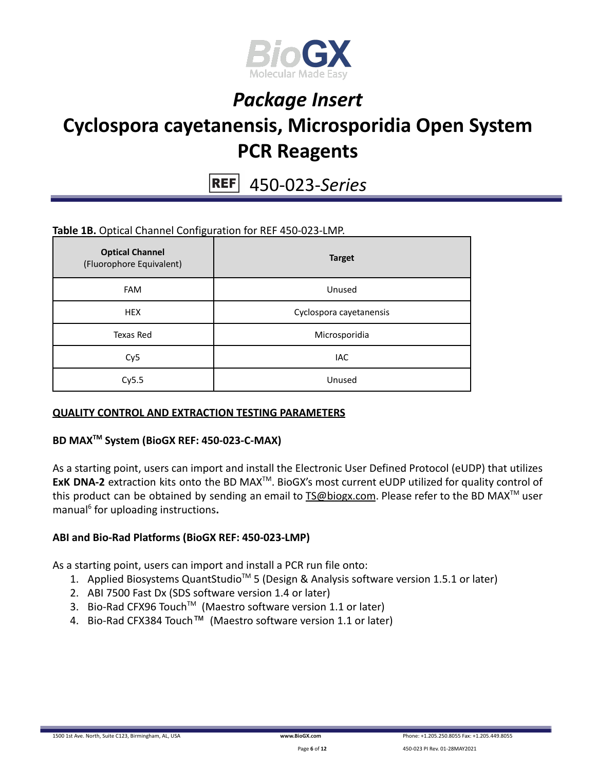

450-023-*Series*

#### **Table 1B.** Optical Channel Configuration for REF 450-023-LMP.

| <b>Optical Channel</b><br>(Fluorophore Equivalent) | <b>Target</b>           |
|----------------------------------------------------|-------------------------|
| <b>FAM</b>                                         | Unused                  |
| <b>HEX</b>                                         | Cyclospora cayetanensis |
| Texas Red                                          | Microsporidia           |
| Cy <sub>5</sub>                                    | IAC                     |
| Cy5.5                                              | Unused                  |

#### **QUALITY CONTROL AND EXTRACTION TESTING PARAMETERS**

#### **BD MAXTM System (BioGX REF: 450-023-C-MAX)**

As a starting point, users can import and install the Electronic User Defined Protocol (eUDP) that utilizes ExK DNA-2 extraction kits onto the BD MAX<sup>™</sup>. BioGX's most current eUDP utilized for quality control of this product can be obtained by sending an email to **[TS@biogx.com](mailto:TS@biogx.com)**. Please refer to the BD MAX<sup>™</sup> user manual<sup>6</sup> for uploading instructions**.**

#### **ABI and Bio-Rad Platforms (BioGX REF: 450-023-LMP)**

As a starting point, users can import and install a PCR run file onto:

- 1. Applied Biosystems QuantStudio<sup>™</sup> 5 (Design & Analysis software version 1.5.1 or later)
- 2. ABI 7500 Fast Dx (SDS software version 1.4 or later)
- 3. Bio-Rad CFX96 Touch<sup>™</sup> (Maestro software version 1.1 or later)
- 4. Bio-Rad CFX384 Touch™ (Maestro software version 1.1 or later)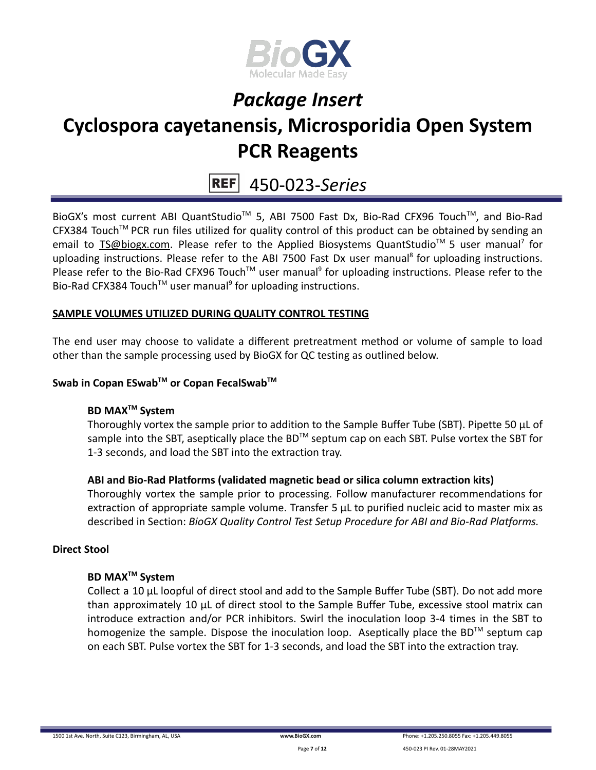

### 450-023-*Series*

BioGX's most current ABI QuantStudio<sup>™</sup> 5, ABI 7500 Fast Dx, Bio-Rad CFX96 Touch™, and Bio-Rad CFX384 Touch™ PCR run files utilized for quality control of this product can be obtained by sending an email to **[TS@biogx.com.](mailto:TS@biogx.com)** Please refer to the Applied Biosystems QuantStudio<sup>™</sup> 5 user manual<sup>7</sup> for uploading instructions. Please refer to the ABI 7500 Fast Dx user manual<sup>8</sup> for uploading instructions. Please refer to the Bio-Rad CFX96 Touch<sup>™</sup> user manual<sup>9</sup> for uploading instructions. Please refer to the Bio-Rad CFX384 Touch<sup>™</sup> user manual<sup>9</sup> for uploading instructions.

#### **SAMPLE VOLUMES UTILIZED DURING QUALITY CONTROL TESTING**

The end user may choose to validate a different pretreatment method or volume of sample to load other than the sample processing used by BioGX for QC testing as outlined below.

#### **Swab in Copan ESwabTM or Copan FecalSwabTM**

#### **BD MAXTM System**

Thoroughly vortex the sample prior to addition to the Sample Buffer Tube (SBT). Pipette 50 μL of sample into the SBT, aseptically place the BD<sup>™</sup> septum cap on each SBT. Pulse vortex the SBT for 1-3 seconds, and load the SBT into the extraction tray.

#### **ABI and Bio-Rad Platforms (validated magnetic bead or silica column extraction kits)**

Thoroughly vortex the sample prior to processing. Follow manufacturer recommendations for extraction of appropriate sample volume. Transfer 5 μL to purified nucleic acid to master mix as described in Section: *BioGX Quality Control Test Setup Procedure for ABI and Bio-Rad Platforms.*

#### **Direct Stool**

#### **BD MAXTM System**

Collect a 10 µL loopful of direct stool and add to the Sample Buffer Tube (SBT). Do not add more than approximately 10 µL of direct stool to the Sample Buffer Tube, excessive stool matrix can introduce extraction and/or PCR inhibitors. Swirl the inoculation loop 3-4 times in the SBT to homogenize the sample. Dispose the inoculation loop. Aseptically place the BD™ septum cap on each SBT. Pulse vortex the SBT for 1-3 seconds, and load the SBT into the extraction tray.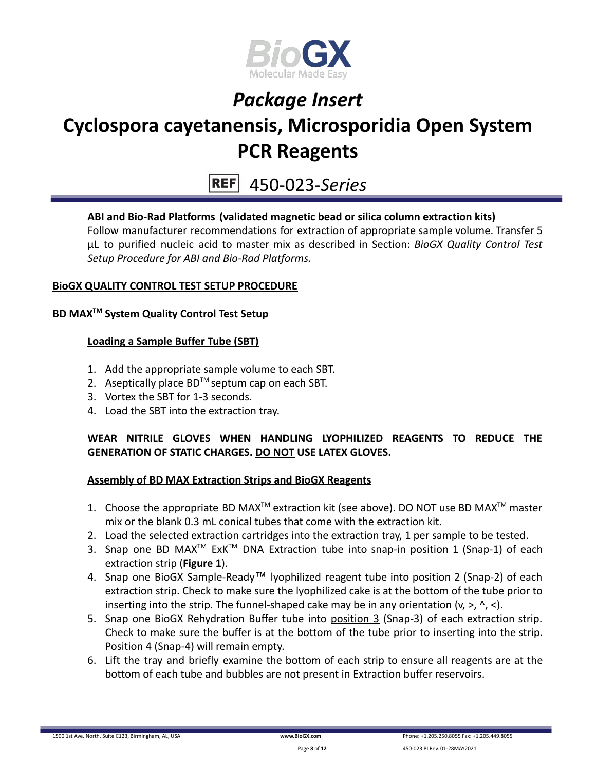

### **PCR Reagents**

450-023-*Series*

#### **ABI and Bio-Rad Platforms (validated magnetic bead or silica column extraction kits)**

Follow manufacturer recommendations for extraction of appropriate sample volume. Transfer 5 μL to purified nucleic acid to master mix as described in Section: *BioGX Quality Control Test Setup Procedure for ABI and Bio-Rad Platforms.*

#### **BioGX QUALITY CONTROL TEST SETUP PROCEDURE**

#### **BD MAXTM System Quality Control Test Setup**

#### **Loading a Sample Buffer Tube (SBT)**

- 1. Add the appropriate sample volume to each SBT.
- 2. Aseptically place  $BD^{TM}$  septum cap on each SBT.
- 3. Vortex the SBT for 1-3 seconds.
- 4. Load the SBT into the extraction tray.

#### **WEAR NITRILE GLOVES WHEN HANDLING LYOPHILIZED REAGENTS TO REDUCE THE GENERATION OF STATIC CHARGES. DO NOT USE LATEX GLOVES.**

#### **Assembly of BD MAX Extraction Strips and BioGX Reagents**

- 1. Choose the appropriate BD MAX<sup>TM</sup> extraction kit (see above). DO NOT use BD MAX<sup>TM</sup> master mix or the blank 0.3 mL conical tubes that come with the extraction kit.
- 2. Load the selected extraction cartridges into the extraction tray, 1 per sample to be tested.
- 3. Snap one BD MAX<sup>™</sup> ExK<sup>™</sup> DNA Extraction tube into snap-in position 1 (Snap-1) of each extraction strip (**Figure 1**).
- 4. Snap one BioGX Sample-Ready™ lyophilized reagent tube into position 2 (Snap-2) of each extraction strip. Check to make sure the lyophilized cake is at the bottom of the tube prior to inserting into the strip. The funnel-shaped cake may be in any orientation  $(v, >, \land, <)$ .
- 5. Snap one BioGX Rehydration Buffer tube into position 3 (Snap-3) of each extraction strip. Check to make sure the buffer is at the bottom of the tube prior to inserting into the strip. Position 4 (Snap-4) will remain empty.
- 6. Lift the tray and briefly examine the bottom of each strip to ensure all reagents are at the bottom of each tube and bubbles are not present in Extraction buffer reservoirs.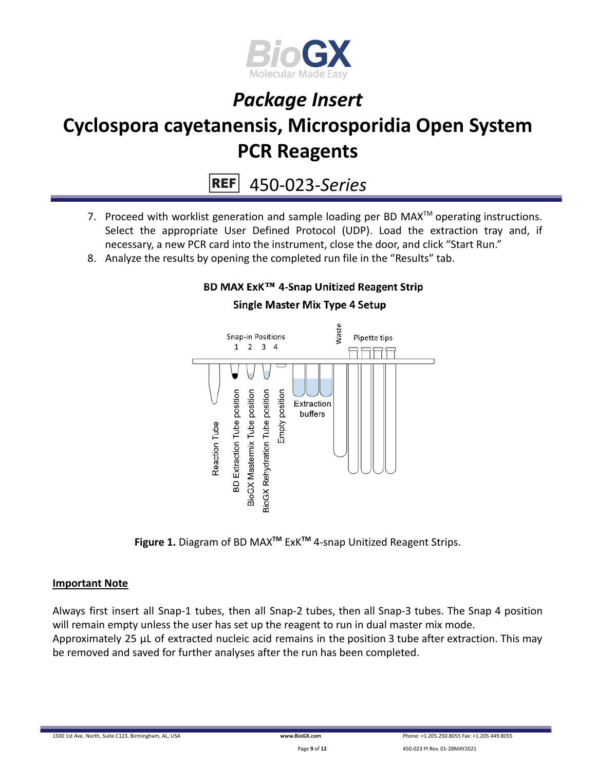

**REF** 450-023-*Series*

- 7. Proceed with worklist generation and sample loading per BD MAX $^{TM}$  operating instructions. Select the appropriate User Defined Protocol (UDP). Load the extraction tray and, if necessary, a new PCR card into the instrument, close the door, and click "Start Run."
- 8. Analyze the results by opening the completed run file in the "Results" tab.

# **Single Master Mix Type 4 Setup**

BD MAX ExK™ 4-Snap Unitized Reagent Strip



**Figure 1.** Diagram of BD MAX**TM** ExK**TM** 4-snap Unitized Reagent Strips.

#### **Important Note**

Always first insert all Snap-1 tubes, then all Snap-2 tubes, then all Snap-3 tubes. The Snap 4 position will remain empty unless the user has set up the reagent to run in dual master mix mode. Approximately 25 µL of extracted nucleic acid remains in the position 3 tube after extraction. This may be removed and saved for further analyses after the run has been completed.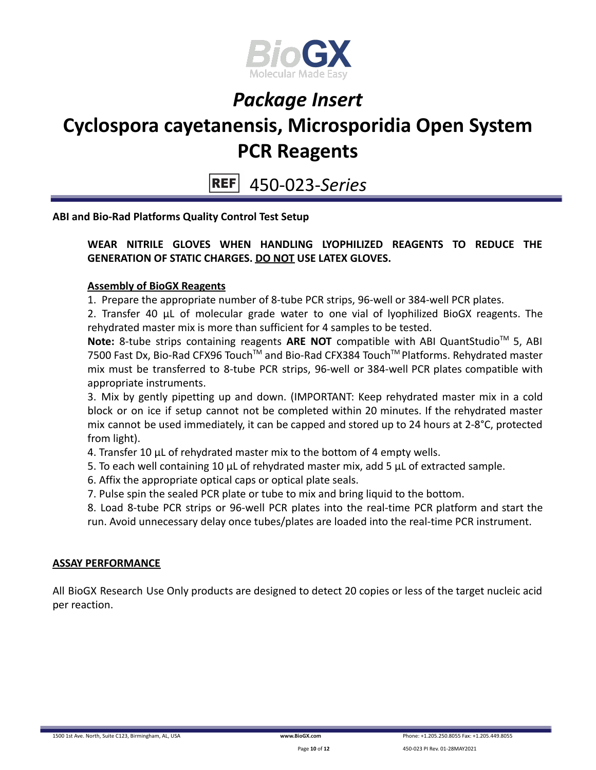

**REF** 450-023-*Series*

**ABI and Bio-Rad Platforms Quality Control Test Setup**

#### **WEAR NITRILE GLOVES WHEN HANDLING LYOPHILIZED REAGENTS TO REDUCE THE GENERATION OF STATIC CHARGES. DO NOT USE LATEX GLOVES.**

#### **Assembly of BioGX Reagents**

1. Prepare the appropriate number of 8-tube PCR strips, 96-well or 384-well PCR plates.

2. Transfer 40 μL of molecular grade water to one vial of lyophilized BioGX reagents. The rehydrated master mix is more than sufficient for 4 samples to be tested.

Note: 8-tube strips containing reagents ARE NOT compatible with ABI QuantStudio<sup>™</sup> 5, ABI 7500 Fast Dx, Bio-Rad CFX96 Touch™ and Bio-Rad CFX384 Touch™ Platforms. Rehydrated master mix must be transferred to 8-tube PCR strips, 96-well or 384-well PCR plates compatible with appropriate instruments.

3. Mix by gently pipetting up and down. (IMPORTANT: Keep rehydrated master mix in a cold block or on ice if setup cannot not be completed within 20 minutes. If the rehydrated master mix cannot be used immediately, it can be capped and stored up to 24 hours at 2-8°C, protected from light).

4. Transfer 10 μL of rehydrated master mix to the bottom of 4 empty wells.

5. To each well containing 10 μL of rehydrated master mix, add 5 μL of extracted sample.

6. Affix the appropriate optical caps or optical plate seals.

7. Pulse spin the sealed PCR plate or tube to mix and bring liquid to the bottom.

8. Load 8-tube PCR strips or 96-well PCR plates into the real-time PCR platform and start the run. Avoid unnecessary delay once tubes/plates are loaded into the real-time PCR instrument.

#### **ASSAY PERFORMANCE**

All BioGX Research Use Only products are designed to detect 20 copies or less of the target nucleic acid per reaction.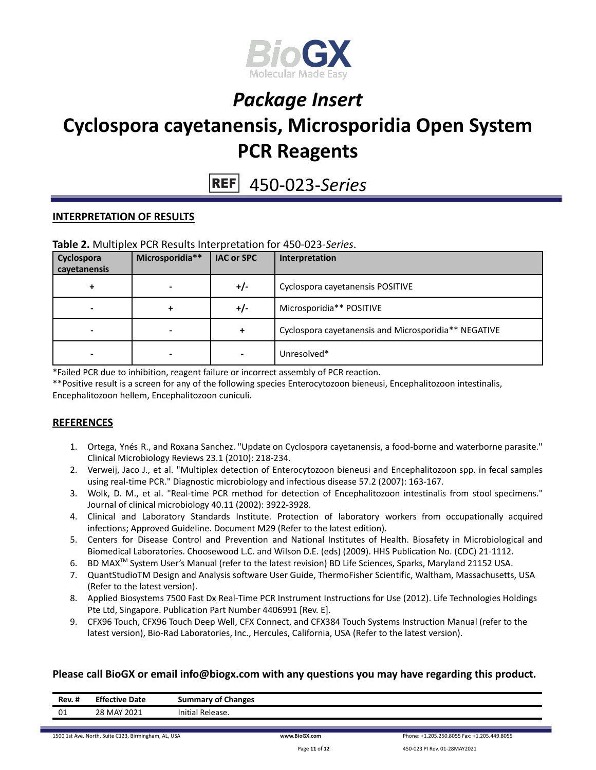

450-023-*Series*

#### **INTERPRETATION OF RESULTS**

#### **Table 2.** Multiplex PCR Results Interpretation for 450-023-*Series*.

| Cyclospora<br>cayetanensis | Microsporidia** | <b>IAC or SPC</b> | Interpretation                                       |
|----------------------------|-----------------|-------------------|------------------------------------------------------|
| +                          |                 | $+/-$             | Cyclospora cayetanensis POSITIVE                     |
| $\,$                       | ٠               | $+/-$             | Microsporidia** POSITIVE                             |
|                            |                 | $\ddotmark$       | Cyclospora cayetanensis and Microsporidia** NEGATIVE |
|                            |                 |                   | Unresolved*                                          |

\*Failed PCR due to inhibition, reagent failure or incorrect assembly of PCR reaction.

\*\*Positive result is a screen for any of the following species Enterocytozoon bieneusi, Encephalitozoon intestinalis, Encephalitozoon hellem, Encephalitozoon cuniculi.

#### **REFERENCES**

- 1. Ortega, Ynés R., and Roxana Sanchez. "Update on Cyclospora cayetanensis, a food-borne and waterborne parasite." Clinical Microbiology Reviews 23.1 (2010): 218-234.
- 2. Verweij, Jaco J., et al. "Multiplex detection of Enterocytozoon bieneusi and Encephalitozoon spp. in fecal samples using real-time PCR." Diagnostic microbiology and infectious disease 57.2 (2007): 163-167.
- 3. Wolk, D. M., et al. "Real-time PCR method for detection of Encephalitozoon intestinalis from stool specimens." Journal of clinical microbiology 40.11 (2002): 3922-3928.
- 4. Clinical and Laboratory Standards Institute. Protection of laboratory workers from occupationally acquired infections; Approved Guideline. Document M29 (Refer to the latest edition).
- 5. Centers for Disease Control and Prevention and National Institutes of Health. Biosafety in Microbiological and Biomedical Laboratories. Choosewood L.C. and Wilson D.E. (eds) (2009). HHS Publication No. (CDC) 21-1112.
- 6. BD MAX<sup>™</sup> System User's Manual (refer to the latest revision) BD Life Sciences, Sparks, Maryland 21152 USA.
- 7. QuantStudioTM Design and Analysis software User Guide, ThermoFisher Scientific, Waltham, Massachusetts, USA (Refer to the latest version).
- 8. Applied Biosystems 7500 Fast Dx Real-Time PCR Instrument Instructions for Use (2012). Life Technologies Holdings Pte Ltd, Singapore. Publication Part Number 4406991 [Rev. E].
- 9. CFX96 Touch, CFX96 Touch Deep Well, CFX Connect, and CFX384 Touch Systems Instruction Manual (refer to the latest version), Bio-Rad Laboratories, Inc., Hercules, California, USA (Refer to the latest version).

#### **Please call BioGX or email info@biogx.com with any questions you may have regarding this product.**

| <b>Rev. #</b> | <b>Effective Date</b> | <b>Summary of Changes</b> |
|---------------|-----------------------|---------------------------|
| 01            | 28 MAY 2021           | Initial<br>Release.       |
|               |                       |                           |